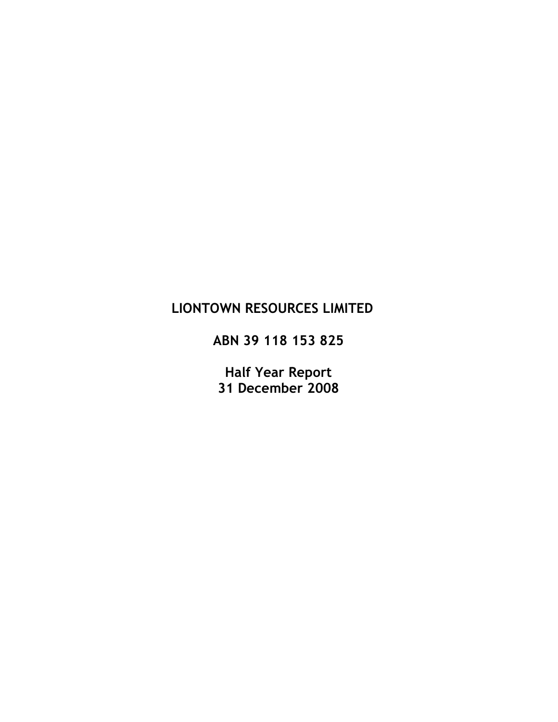# LIONTOWN RESOURCES LIMITED

ABN 39 118 153 825

Half Year Report 31 December 2008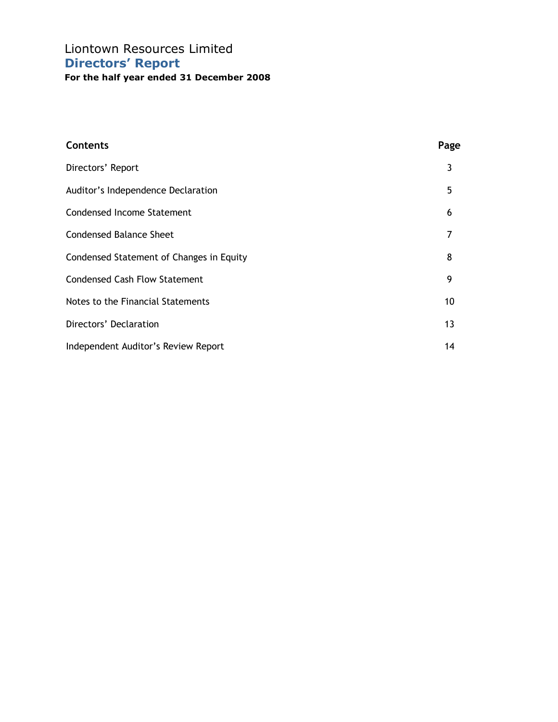# Liontown Resources Limited Directors' Report

| <b>Contents</b>                          | Page |
|------------------------------------------|------|
| Directors' Report                        | 3    |
| Auditor's Independence Declaration       | 5    |
| <b>Condensed Income Statement</b>        | 6    |
| <b>Condensed Balance Sheet</b>           | 7    |
| Condensed Statement of Changes in Equity | 8    |
| <b>Condensed Cash Flow Statement</b>     | 9    |
| Notes to the Financial Statements        | 10   |
| Directors' Declaration                   | 13   |
| Independent Auditor's Review Report      | 14   |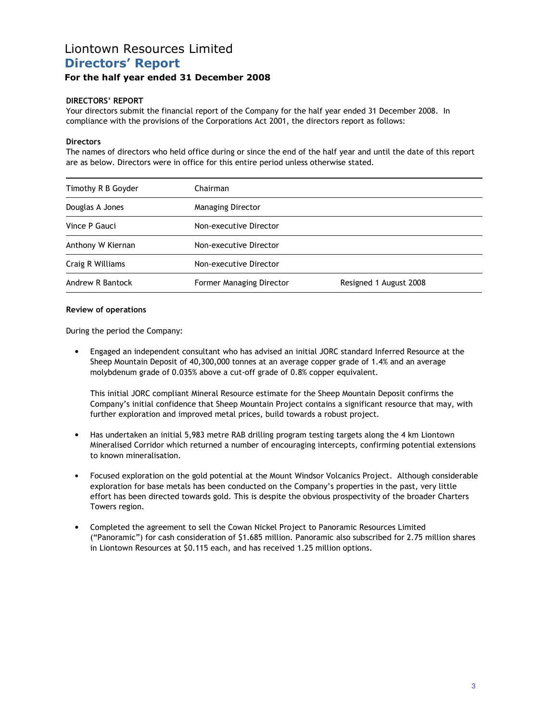## Liontown Resources Limited Directors' Report

### For the half year ended 31 December 2008

#### DIRECTORS' REPORT

Your directors submit the financial report of the Company for the half year ended 31 December 2008. In compliance with the provisions of the Corporations Act 2001, the directors report as follows:

#### **Directors**

The names of directors who held office during or since the end of the half year and until the date of this report are as below. Directors were in office for this entire period unless otherwise stated.

| Timothy R B Goyder | Chairman                 |                        |
|--------------------|--------------------------|------------------------|
| Douglas A Jones    | Managing Director        |                        |
| Vince P Gauci      | Non-executive Director   |                        |
| Anthony W Kiernan  | Non-executive Director   |                        |
| Craig R Williams   | Non-executive Director   |                        |
| Andrew R Bantock   | Former Managing Director | Resigned 1 August 2008 |

#### Review of operations

During the period the Company:

• Engaged an independent consultant who has advised an initial JORC standard Inferred Resource at the Sheep Mountain Deposit of 40,300,000 tonnes at an average copper grade of 1.4% and an average molybdenum grade of 0.035% above a cut-off grade of 0.8% copper equivalent.

This initial JORC compliant Mineral Resource estimate for the Sheep Mountain Deposit confirms the Company's initial confidence that Sheep Mountain Project contains a significant resource that may, with further exploration and improved metal prices, build towards a robust project.

- Has undertaken an initial 5,983 metre RAB drilling program testing targets along the 4 km Liontown Mineralised Corridor which returned a number of encouraging intercepts, confirming potential extensions to known mineralisation.
- Focused exploration on the gold potential at the Mount Windsor Volcanics Project. Although considerable exploration for base metals has been conducted on the Company's properties in the past, very little effort has been directed towards gold. This is despite the obvious prospectivity of the broader Charters Towers region.
- Completed the agreement to sell the Cowan Nickel Project to Panoramic Resources Limited ("Panoramic") for cash consideration of \$1.685 million. Panoramic also subscribed for 2.75 million shares in Liontown Resources at \$0.115 each, and has received 1.25 million options.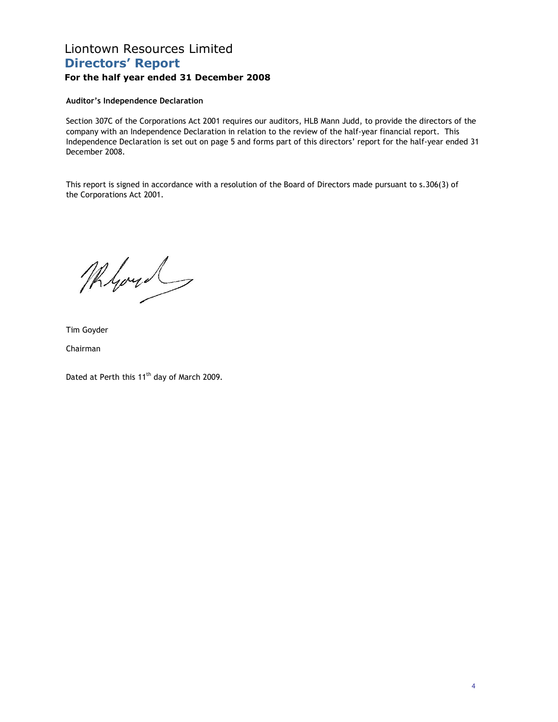# Liontown Resources Limited Directors' Report

### For the half year ended 31 December 2008

#### Auditor's Independence Declaration

Section 307C of the Corporations Act 2001 requires our auditors, HLB Mann Judd, to provide the directors of the company with an Independence Declaration in relation to the review of the half-year financial report. This Independence Declaration is set out on page 5 and forms part of this directors' report for the half-year ended 31 December 2008.

This report is signed in accordance with a resolution of the Board of Directors made pursuant to s.306(3) of the Corporations Act 2001.

Myou

Tim Goyder

Chairman

Dated at Perth this 11<sup>th</sup> day of March 2009.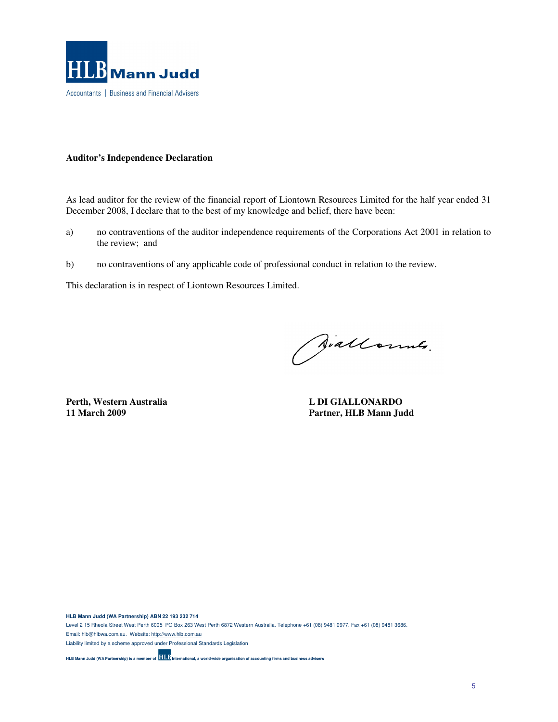

#### **Auditor's Independence Declaration**

As lead auditor for the review of the financial report of Liontown Resources Limited for the half year ended 31 December 2008, I declare that to the best of my knowledge and belief, there have been:

- a) no contraventions of the auditor independence requirements of the Corporations Act 2001 in relation to the review; and
- b) no contraventions of any applicable code of professional conduct in relation to the review.

This declaration is in respect of Liontown Resources Limited.

Siallonnes.

**Perth, Western Australia and L DI GIALLONARDO 11 March 2009** 

Partner, HLB Mann Judd

**HLB Mann Judd (WA Partnership) ABN 22 193 232 714**  Level 2 15 Rheola Street West Perth 6005 PO Box 263 West Perth 6872 Western Australia. Telephone +61 (08) 9481 0977. Fax +61 (08) 9481 3686. Email: hlb@hlbwa.com.au. Website: http://www.hlb.com.au Liability limited by a scheme approved under Professional Standards Legislation **HLB Mann Judd (WA Partnership) is a member of <b>HLB** International, a world-wide organisation of accounting firms and business advisers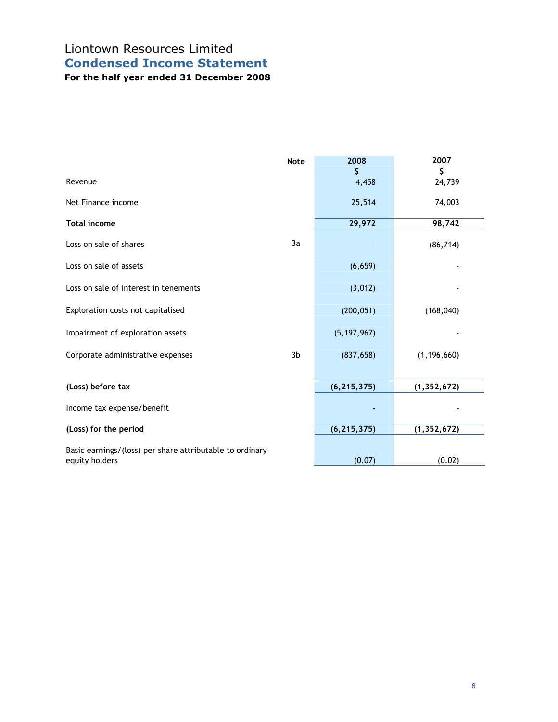# Liontown Resources Limited Condensed Income Statement

|                                                                            | <b>Note</b> | 2008<br>\$    | 2007<br>\$    |
|----------------------------------------------------------------------------|-------------|---------------|---------------|
| Revenue                                                                    |             | 4,458         | 24,739        |
| Net Finance income                                                         |             | 25,514        | 74,003        |
| <b>Total income</b>                                                        |             | 29,972        | 98,742        |
| Loss on sale of shares                                                     | 3a          |               | (86, 714)     |
| Loss on sale of assets                                                     |             | (6, 659)      |               |
| Loss on sale of interest in tenements                                      |             | (3,012)       |               |
| Exploration costs not capitalised                                          |             | (200, 051)    | (168, 040)    |
| Impairment of exploration assets                                           |             | (5, 197, 967) |               |
| Corporate administrative expenses                                          | 3b          | (837, 658)    | (1, 196, 660) |
| (Loss) before tax                                                          |             | (6, 215, 375) | (1, 352, 672) |
| Income tax expense/benefit                                                 |             |               |               |
| (Loss) for the period                                                      |             | (6, 215, 375) | (1, 352, 672) |
| Basic earnings/(loss) per share attributable to ordinary<br>equity holders |             | (0.07)        | (0.02)        |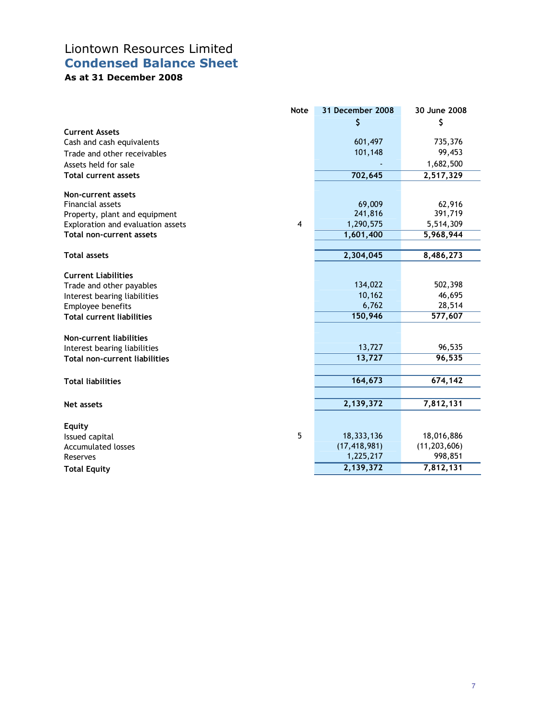## Liontown Resources Limited Condensed Balance Sheet

## As at 31 December 2008

|                                      | <b>Note</b>    | 31 December 2008 | 30 June 2008   |
|--------------------------------------|----------------|------------------|----------------|
|                                      |                | \$               | \$             |
| <b>Current Assets</b>                |                |                  |                |
| Cash and cash equivalents            |                | 601,497          | 735,376        |
| Trade and other receivables          |                | 101,148          | 99,453         |
| Assets held for sale                 |                |                  | 1,682,500      |
| <b>Total current assets</b>          |                | 702,645          | 2,517,329      |
| Non-current assets                   |                |                  |                |
| <b>Financial assets</b>              |                | 69,009           | 62,916         |
| Property, plant and equipment        |                | 241,816          | 391,719        |
| Exploration and evaluation assets    | $\overline{4}$ | 1,290,575        | 5,514,309      |
| <b>Total non-current assets</b>      |                | 1,601,400        | 5,968,944      |
|                                      |                |                  |                |
| <b>Total assets</b>                  |                | 2,304,045        | 8,486,273      |
| <b>Current Liabilities</b>           |                |                  |                |
| Trade and other payables             |                | 134,022          | 502,398        |
| Interest bearing liabilities         |                | 10,162           | 46,695         |
| Employee benefits                    |                | 6,762            | 28,514         |
| <b>Total current liabilities</b>     |                | 150,946          | 577,607        |
| Non-current liabilities              |                |                  |                |
| Interest bearing liabilities         |                | 13,727           | 96,535         |
| <b>Total non-current liabilities</b> |                | 13,727           | 96,535         |
|                                      |                |                  |                |
| <b>Total liabilities</b>             |                | 164,673          | 674,142        |
|                                      |                |                  |                |
| Net assets                           |                | 2,139,372        | 7,812,131      |
| <b>Equity</b>                        |                |                  |                |
| Issued capital                       | 5              | 18,333,136       | 18,016,886     |
| <b>Accumulated losses</b>            |                | (17, 418, 981)   | (11, 203, 606) |
| Reserves                             |                | 1,225,217        | 998,851        |
| <b>Total Equity</b>                  |                | 2,139,372        | 7,812,131      |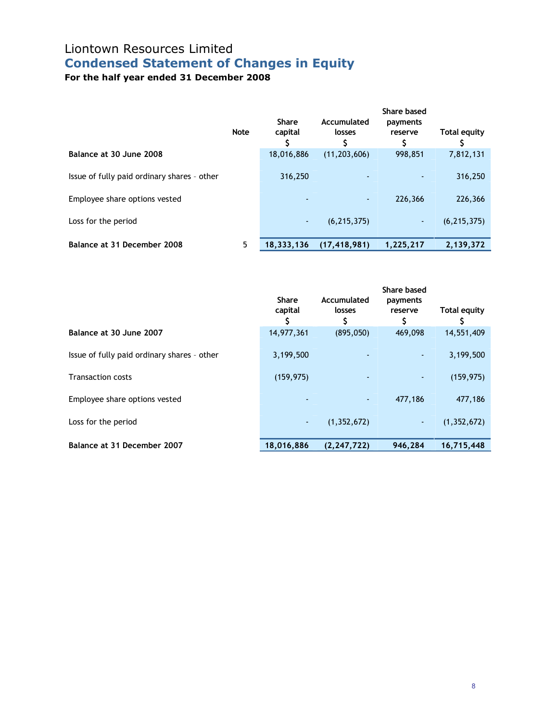# Liontown Resources Limited Condensed Statement of Changes in Equity

|                                             | <b>Note</b> | <b>Share</b><br>capital | Accumulated<br>losses | Share based<br>payments<br>reserve | Total equity  |
|---------------------------------------------|-------------|-------------------------|-----------------------|------------------------------------|---------------|
| Balance at 30 June 2008                     |             | 18,016,886              | (11, 203, 606)        | 998,851                            | 7,812,131     |
| Issue of fully paid ordinary shares - other |             | 316,250                 |                       |                                    | 316,250       |
| Employee share options vested               |             | ٠                       |                       | 226,366                            | 226,366       |
| Loss for the period                         |             | ٠                       | (6, 215, 375)         | ۰.                                 | (6, 215, 375) |
| Balance at 31 December 2008                 | 5           | 18,333,136              | (17, 418, 981)        | 1,225,217                          | 2,139,372     |

|                                             | <b>Share</b><br>capital | Accumulated<br>losses<br>\$  | <b>Share based</b><br>payments<br>reserve<br>\$ | Total equity  |
|---------------------------------------------|-------------------------|------------------------------|-------------------------------------------------|---------------|
| Balance at 30 June 2007                     | 14,977,361              | (895,050)                    | 469,098                                         | 14,551,409    |
| Issue of fully paid ordinary shares - other | 3,199,500               |                              |                                                 | 3,199,500     |
| <b>Transaction costs</b>                    | (159, 975)              |                              |                                                 | (159, 975)    |
| Employee share options vested               |                         | $\qquad \qquad \blacksquare$ | 477,186                                         | 477,186       |
| Loss for the period                         | $\blacksquare$          | (1, 352, 672)                | $\sim$                                          | (1, 352, 672) |
| Balance at 31 December 2007                 | 18,016,886              | (2, 247, 722)                | 946,284                                         | 16,715,448    |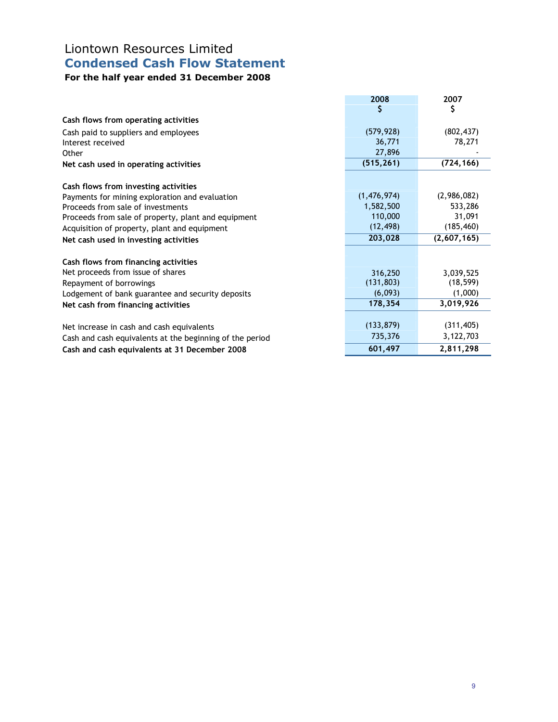# Liontown Resources Limited Condensed Cash Flow Statement

|                                                          | 2008<br>S   | 2007<br>\$  |
|----------------------------------------------------------|-------------|-------------|
| Cash flows from operating activities                     |             |             |
| Cash paid to suppliers and employees                     | (579, 928)  | (802, 437)  |
| Interest received                                        | 36,771      | 78,271      |
| Other                                                    | 27,896      |             |
| Net cash used in operating activities                    | (515, 261)  | (724, 166)  |
| Cash flows from investing activities                     |             |             |
| Payments for mining exploration and evaluation           | (1,476,974) | (2,986,082) |
| Proceeds from sale of investments                        | 1,582,500   | 533,286     |
| Proceeds from sale of property, plant and equipment      | 110,000     | 31,091      |
| Acquisition of property, plant and equipment             | (12, 498)   | (185, 460)  |
| Net cash used in investing activities                    | 203,028     | (2,607,165) |
| Cash flows from financing activities                     |             |             |
| Net proceeds from issue of shares                        | 316,250     | 3,039,525   |
| Repayment of borrowings                                  | (131, 803)  | (18, 599)   |
| Lodgement of bank guarantee and security deposits        | (6,093)     | (1,000)     |
| Net cash from financing activities                       | 178,354     | 3,019,926   |
| Net increase in cash and cash equivalents                | (133, 879)  | (311, 405)  |
| Cash and cash equivalents at the beginning of the period | 735,376     | 3,122,703   |
| Cash and cash equivalents at 31 December 2008            | 601,497     | 2,811,298   |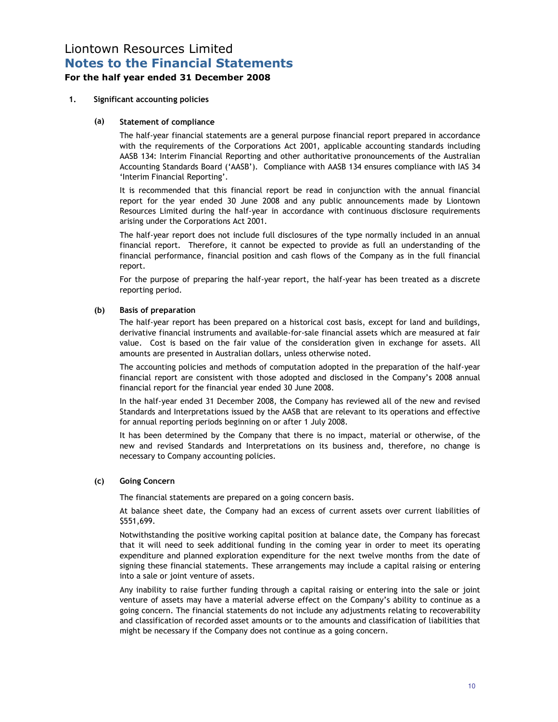### Liontown Resources Limited Notes to the Financial Statements

### For the half year ended 31 December 2008

#### 1. Significant accounting policies

#### (a) Statement of compliance

 The half-year financial statements are a general purpose financial report prepared in accordance with the requirements of the Corporations Act 2001, applicable accounting standards including AASB 134: Interim Financial Reporting and other authoritative pronouncements of the Australian Accounting Standards Board ('AASB'). Compliance with AASB 134 ensures compliance with IAS 34 'Interim Financial Reporting'.

 It is recommended that this financial report be read in conjunction with the annual financial report for the year ended 30 June 2008 and any public announcements made by Liontown Resources Limited during the half-year in accordance with continuous disclosure requirements arising under the Corporations Act 2001.

 The half-year report does not include full disclosures of the type normally included in an annual financial report. Therefore, it cannot be expected to provide as full an understanding of the financial performance, financial position and cash flows of the Company as in the full financial report.

 For the purpose of preparing the half-year report, the half-year has been treated as a discrete reporting period.

#### (b) Basis of preparation

 The half-year report has been prepared on a historical cost basis, except for land and buildings, derivative financial instruments and available-for-sale financial assets which are measured at fair value. Cost is based on the fair value of the consideration given in exchange for assets. All amounts are presented in Australian dollars, unless otherwise noted.

 The accounting policies and methods of computation adopted in the preparation of the half-year financial report are consistent with those adopted and disclosed in the Company's 2008 annual financial report for the financial year ended 30 June 2008.

 In the half-year ended 31 December 2008, the Company has reviewed all of the new and revised Standards and Interpretations issued by the AASB that are relevant to its operations and effective for annual reporting periods beginning on or after 1 July 2008.

 It has been determined by the Company that there is no impact, material or otherwise, of the new and revised Standards and Interpretations on its business and, therefore, no change is necessary to Company accounting policies.

#### (c) Going Concern

The financial statements are prepared on a going concern basis.

At balance sheet date, the Company had an excess of current assets over current liabilities of \$551,699.

Notwithstanding the positive working capital position at balance date, the Company has forecast that it will need to seek additional funding in the coming year in order to meet its operating expenditure and planned exploration expenditure for the next twelve months from the date of signing these financial statements. These arrangements may include a capital raising or entering into a sale or joint venture of assets.

 Any inability to raise further funding through a capital raising or entering into the sale or joint venture of assets may have a material adverse effect on the Company's ability to continue as a going concern. The financial statements do not include any adjustments relating to recoverability and classification of recorded asset amounts or to the amounts and classification of liabilities that might be necessary if the Company does not continue as a going concern.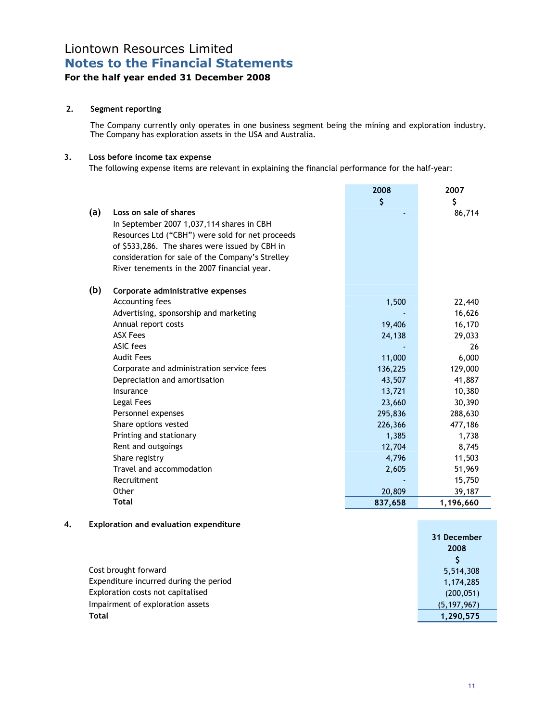# Liontown Resources Limited Notes to the Financial Statements

### For the half year ended 31 December 2008

### 2. Segment reporting

The Company currently only operates in one business segment being the mining and exploration industry. The Company has exploration assets in the USA and Australia.

### 3. Loss before income tax expense

The following expense items are relevant in explaining the financial performance for the half-year:

| (a) | Loss on sale of shares<br>In September 2007 1,037,114 shares in CBH<br>Resources Ltd ("CBH") were sold for net proceeds<br>of \$533,286. The shares were issued by CBH in<br>consideration for sale of the Company's Strelley<br>River tenements in the 2007 financial year. | 2008<br>\$ | 2007<br>\$<br>86,714 |
|-----|------------------------------------------------------------------------------------------------------------------------------------------------------------------------------------------------------------------------------------------------------------------------------|------------|----------------------|
| (b) | Corporate administrative expenses                                                                                                                                                                                                                                            |            |                      |
|     | Accounting fees                                                                                                                                                                                                                                                              | 1,500      | 22,440               |
|     | Advertising, sponsorship and marketing                                                                                                                                                                                                                                       |            | 16,626               |
|     | Annual report costs                                                                                                                                                                                                                                                          | 19,406     | 16,170               |
|     | <b>ASX Fees</b>                                                                                                                                                                                                                                                              | 24,138     | 29,033               |
|     | ASIC fees                                                                                                                                                                                                                                                                    |            | 26                   |
|     | <b>Audit Fees</b>                                                                                                                                                                                                                                                            | 11,000     | 6,000                |
|     | Corporate and administration service fees                                                                                                                                                                                                                                    | 136,225    | 129,000              |
|     | Depreciation and amortisation                                                                                                                                                                                                                                                | 43,507     | 41,887               |
|     | Insurance                                                                                                                                                                                                                                                                    | 13,721     | 10,380               |
|     | Legal Fees                                                                                                                                                                                                                                                                   | 23,660     | 30,390               |
|     | Personnel expenses                                                                                                                                                                                                                                                           | 295,836    | 288,630              |
|     | Share options vested                                                                                                                                                                                                                                                         | 226,366    | 477,186              |
|     | Printing and stationary                                                                                                                                                                                                                                                      | 1,385      | 1,738                |
|     | Rent and outgoings                                                                                                                                                                                                                                                           | 12,704     | 8,745                |
|     | Share registry                                                                                                                                                                                                                                                               | 4,796      | 11,503               |
|     | Travel and accommodation                                                                                                                                                                                                                                                     | 2,605      | 51,969               |
|     | Recruitment                                                                                                                                                                                                                                                                  |            | 15,750               |
|     | Other                                                                                                                                                                                                                                                                        | 20,809     | 39,187               |
|     | Total                                                                                                                                                                                                                                                                        | 837,658    | 1,196,660            |

### 4. Exploration and evaluation expenditure

| 31 December   |
|---------------|
| 2008          |
|               |
| 5,514,308     |
| 1,174,285     |
| (200, 051)    |
| (5, 197, 967) |
| 1,290,575     |
|               |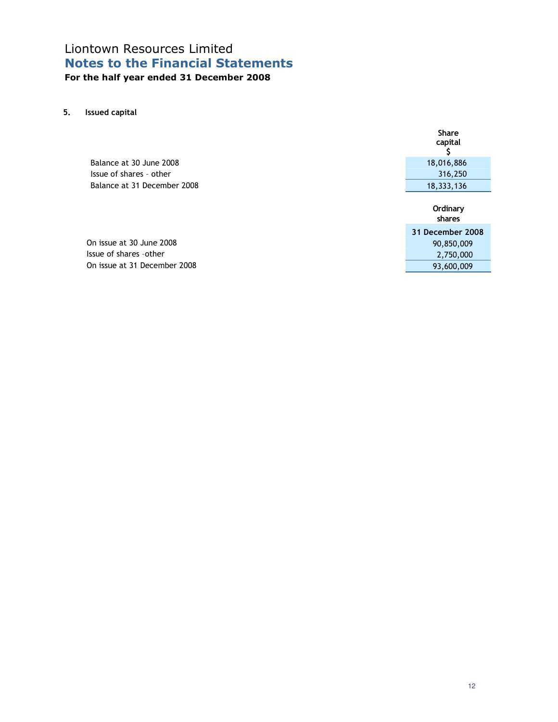### Liontown Resources Limited Notes to the Financial Statements For the half year ended 31 December 2008

5. Issued capital

|                             | capital            |
|-----------------------------|--------------------|
| Balance at 30 June 2008     | 18,016,886         |
| Issue of shares - other     | 316,250            |
| Balance at 31 December 2008 | 18,333,136         |
|                             | Ordinary<br>shares |
|                             |                    |
|                             | 31 December 2008   |
| On issue at 30 June 2008    | 90,850,009         |
| Issue of shares -other      | 2,750,000          |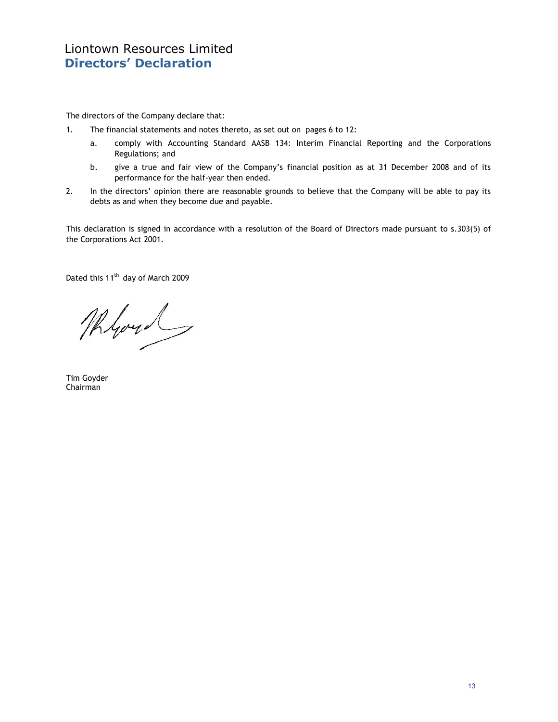The directors of the Company declare that:

- 1. The financial statements and notes thereto, as set out on pages 6 to 12:
	- a. comply with Accounting Standard AASB 134: Interim Financial Reporting and the Corporations Regulations; and
	- b. give a true and fair view of the Company's financial position as at 31 December 2008 and of its performance for the half-year then ended.
- 2. In the directors' opinion there are reasonable grounds to believe that the Company will be able to pay its debts as and when they become due and payable.

This declaration is signed in accordance with a resolution of the Board of Directors made pursuant to s.303(5) of the Corporations Act 2001.

Dated this 11<sup>th</sup> day of March 2009

Myou

Tim Goyder Chairman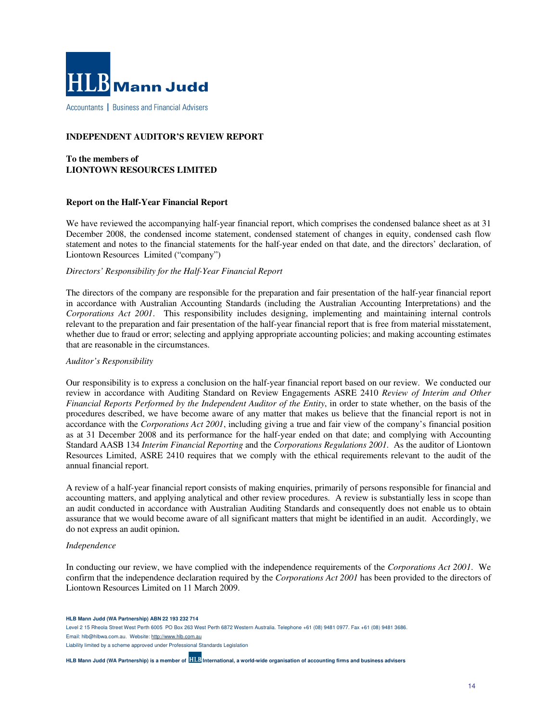

Accountants | Business and Financial Advisers

#### **INDEPENDENT AUDITOR'S REVIEW REPORT**

#### **To the members of LIONTOWN RESOURCES LIMITED**

#### **Report on the Half-Year Financial Report**

We have reviewed the accompanying half-year financial report, which comprises the condensed balance sheet as at 31 December 2008, the condensed income statement, condensed statement of changes in equity, condensed cash flow statement and notes to the financial statements for the half-year ended on that date, and the directors' declaration, of Liontown Resources Limited ("company")

#### *Directors' Responsibility for the Half-Year Financial Report*

The directors of the company are responsible for the preparation and fair presentation of the half-year financial report in accordance with Australian Accounting Standards (including the Australian Accounting Interpretations) and the *Corporations Act 2001*. This responsibility includes designing, implementing and maintaining internal controls relevant to the preparation and fair presentation of the half-year financial report that is free from material misstatement, whether due to fraud or error; selecting and applying appropriate accounting policies; and making accounting estimates that are reasonable in the circumstances.

#### *Auditor's Responsibility*

Our responsibility is to express a conclusion on the half-year financial report based on our review. We conducted our review in accordance with Auditing Standard on Review Engagements ASRE 2410 *Review of Interim and Other Financial Reports Performed by the Independent Auditor of the Entity*, in order to state whether, on the basis of the procedures described, we have become aware of any matter that makes us believe that the financial report is not in accordance with the *Corporations Act 2001*, including giving a true and fair view of the company's financial position as at 31 December 2008 and its performance for the half-year ended on that date; and complying with Accounting Standard AASB 134 *Interim Financial Reporting* and the *Corporations Regulations 2001.* As the auditor of Liontown Resources Limited, ASRE 2410 requires that we comply with the ethical requirements relevant to the audit of the annual financial report.

A review of a half-year financial report consists of making enquiries, primarily of persons responsible for financial and accounting matters, and applying analytical and other review procedures. A review is substantially less in scope than an audit conducted in accordance with Australian Auditing Standards and consequently does not enable us to obtain assurance that we would become aware of all significant matters that might be identified in an audit. Accordingly, we do not express an audit opinion**.** 

#### *Independence*

In conducting our review, we have complied with the independence requirements of the *Corporations Act 2001*. We confirm that the independence declaration required by the *Corporations Act 2001* has been provided to the directors of Liontown Resources Limited on 11 March 2009.

**HLB Mann Judd (WA Partnership) ABN 22 193 232 714** 

Level 2 15 Rheola Street West Perth 6005 PO Box 263 West Perth 6872 Western Australia. Telephone +61 (08) 9481 0977. Fax +61 (08) 9481 3686.

Email: hlb@hlbwa.com.au. Website: http://www.hlb.com.au

Liability limited by a scheme approved under Professional Standards Legislation

**HLB Mann Judd (WA Partnership) is a member of International, a world-wide organisation of accounting firms and business advisers**